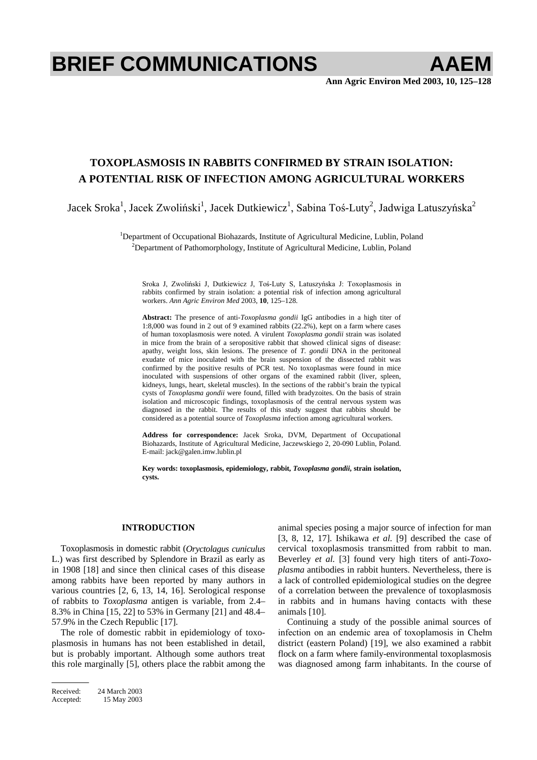# **BRIEF COMMUNICATIONS AAEM**

**Ann Agric Environ Med 2003, 10, 125–128**

# **TOXOPLASMOSIS IN RABBITS CONFIRMED BY STRAIN ISOLATION: A POTENTIAL RISK OF INFECTION AMONG AGRICULTURAL WORKERS**

Jacek Sroka $^1$ , Jacek Zwoliński $^1$ , Jacek Dutkiewicz $^1$ , Sabina Toś-Luty $^2$ , Jadwiga Latuszyńska $^2$ 

<sup>1</sup>Department of Occupational Biohazards, Institute of Agricultural Medicine, Lublin, Poland <sup>2</sup>Department of Pethomerphelegy, Institute of Agricultural Medicine, Lublin, Poland <sup>2</sup>Department of Pathomorphology, Institute of Agricultural Medicine, Lublin, Poland

Sroka J, Zwoliński J, Dutkiewicz J, Toś-Luty S, Latuszyńska J: Toxoplasmosis in rabbits confirmed by strain isolation: a potential risk of infection among agricultural workers. *Ann Agric Environ Med* 2003, **10**, 125–128.

**Abstract:** The presence of anti-*Toxoplasma gondii* IgG antibodies in a high titer of 1:8,000 was found in 2 out of 9 examined rabbits (22.2%), kept on a farm where cases of human toxoplasmosis were noted. A virulent *Toxoplasma gondii* strain was isolated in mice from the brain of a seropositive rabbit that showed clinical signs of disease: apathy, weight loss, skin lesions. The presence of *T. gondii* DNA in the peritoneal exudate of mice inoculated with the brain suspension of the dissected rabbit was confirmed by the positive results of PCR test. No toxoplasmas were found in mice inoculated with suspensions of other organs of the examined rabbit (liver, spleen, kidneys, lungs, heart, skeletal muscles). In the sections of the rabbit's brain the typical cysts of *Toxoplasma gondii* were found, filled with bradyzoites. On the basis of strain isolation and microscopic findings, toxoplasmosis of the central nervous system was diagnosed in the rabbit. The results of this study suggest that rabbits should be considered as a potential source of *Toxoplasma* infection among agricultural workers.

**Address for correspondence:** Jacek Sroka, DVM, Department of Occupational Biohazards, Institute of Agricultural Medicine, Jaczewskiego 2, 20-090 Lublin, Poland. E-mail: jack@galen.imw.lublin.pl

**Key words: toxoplasmosis, epidemiology, rabbit,** *Toxoplasma gondii***, strain isolation, cysts.** 

### **INTRODUCTION**

Toxoplasmosis in domestic rabbit (*Oryctolagus cuniculus* L.) was first described by Splendore in Brazil as early as in 1908 [18] and since then clinical cases of this disease among rabbits have been reported by many authors in various countries [2, 6, 13, 14, 16]. Serological response of rabbits to *Toxoplasma* antigen is variable, from 2.4– 8.3% in China [15, 22] to 53% in Germany [21] and 48.4– 57.9% in the Czech Republic [17].

The role of domestic rabbit in epidemiology of toxoplasmosis in humans has not been established in detail, but is probably important. Although some authors treat this role marginally [5], others place the rabbit among the

Received: 24 March 2003<br>Accepted: 15 May 2003 15 May 2003 animal species posing a major source of infection for man [3, 8, 12, 17]. Ishikawa *et al.* [9] described the case of cervical toxoplasmosis transmitted from rabbit to man. Beverley *et al.* [3] found very high titers of anti-*Toxoplasma* antibodies in rabbit hunters. Nevertheless, there is a lack of controlled epidemiological studies on the degree of a correlation between the prevalence of toxoplasmosis in rabbits and in humans having contacts with these animals [10].

Continuing a study of the possible animal sources of infection on an endemic area of toxoplamosis in Chełm district (eastern Poland) [19], we also examined a rabbit flock on a farm where family-environmental toxoplasmosis was diagnosed among farm inhabitants. In the course of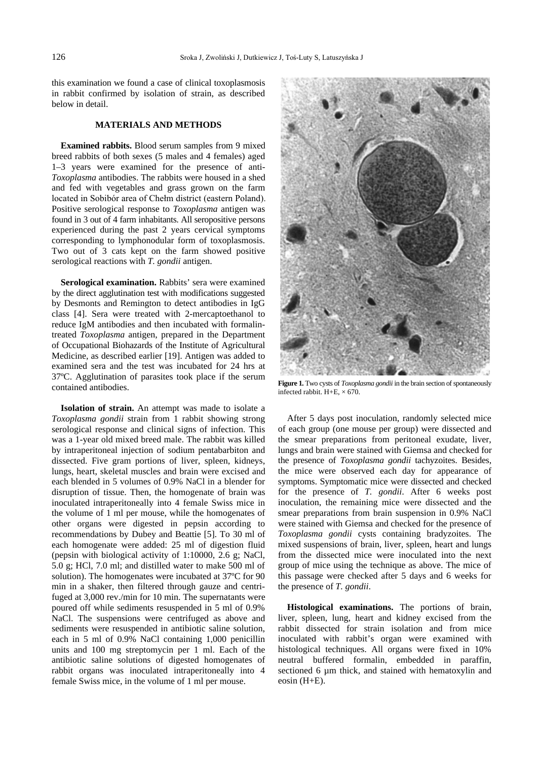this examination we found a case of clinical toxoplasmosis in rabbit confirmed by isolation of strain, as described below in detail.

# **MATERIALS AND METHODS**

**Examined rabbits.** Blood serum samples from 9 mixed breed rabbits of both sexes (5 males and 4 females) aged 1–3 years were examined for the presence of anti-*Toxoplasma* antibodies. The rabbits were housed in a shed and fed with vegetables and grass grown on the farm located in Sobibór area of Chełm district (eastern Poland). Positive serological response to *Toxoplasma* antigen was found in 3 out of 4 farm inhabitants. All seropositive persons experienced during the past 2 years cervical symptoms corresponding to lymphonodular form of toxoplasmosis. Two out of 3 cats kept on the farm showed positive serological reactions with *T. gondii* antigen.

**Serological examination.** Rabbits' sera were examined by the direct agglutination test with modifications suggested by Desmonts and Remington to detect antibodies in IgG class [4]. Sera were treated with 2-mercaptoethanol to reduce IgM antibodies and then incubated with formalintreated *Toxoplasma* antigen, prepared in the Department of Occupational Biohazards of the Institute of Agricultural Medicine, as described earlier [19]. Antigen was added to examined sera and the test was incubated for 24 hrs at 37ºC. Agglutination of parasites took place if the serum contained antibodies.

**Isolation of strain.** An attempt was made to isolate a *Toxoplasma gondii* strain from 1 rabbit showing strong serological response and clinical signs of infection. This was a 1-year old mixed breed male. The rabbit was killed by intraperitoneal injection of sodium pentabarbiton and dissected. Five gram portions of liver, spleen, kidneys, lungs, heart, skeletal muscles and brain were excised and each blended in 5 volumes of 0.9% NaCl in a blender for disruption of tissue. Then, the homogenate of brain was inoculated intraperitoneally into 4 female Swiss mice in the volume of 1 ml per mouse, while the homogenates of other organs were digested in pepsin according to recommendations by Dubey and Beattie [5]. To 30 ml of each homogenate were added: 25 ml of digestion fluid (pepsin with biological activity of 1:10000, 2.6 g; NaCl, 5.0 g; HCl, 7.0 ml; and distilled water to make 500 ml of solution). The homogenates were incubated at 37ºC for 90 min in a shaker, then filtered through gauze and centrifuged at 3,000 rev./min for 10 min. The supernatants were poured off while sediments resuspended in 5 ml of 0.9% NaCl. The suspensions were centrifuged as above and sediments were resuspended in antibiotic saline solution, each in 5 ml of 0.9% NaCl containing 1,000 penicillin units and 100 mg streptomycin per 1 ml. Each of the antibiotic saline solutions of digested homogenates of rabbit organs was inoculated intraperitoneally into 4 female Swiss mice, in the volume of 1 ml per mouse.



**Figure 1.** Two cysts of *Toxoplasma gondii* in the brain section of spontaneously infected rabbit.  $H+E$ ,  $\times$  670.

After 5 days post inoculation, randomly selected mice of each group (one mouse per group) were dissected and the smear preparations from peritoneal exudate, liver, lungs and brain were stained with Giemsa and checked for the presence of *Toxoplasma gondii* tachyzoites. Besides, the mice were observed each day for appearance of symptoms. Symptomatic mice were dissected and checked for the presence of *T. gondii*. After 6 weeks post inoculation, the remaining mice were dissected and the smear preparations from brain suspension in 0.9% NaCl were stained with Giemsa and checked for the presence of *Toxoplasma gondii* cysts containing bradyzoites. The mixed suspensions of brain, liver, spleen, heart and lungs from the dissected mice were inoculated into the next group of mice using the technique as above. The mice of this passage were checked after 5 days and 6 weeks for the presence of *T. gondii*.

**Histological examinations.** The portions of brain, liver, spleen, lung, heart and kidney excised from the rabbit dissected for strain isolation and from mice inoculated with rabbit's organ were examined with histological techniques. All organs were fixed in 10% neutral buffered formalin, embedded in paraffin, sectioned 6  $\mu$ m thick, and stained with hematoxylin and eosin (H+E).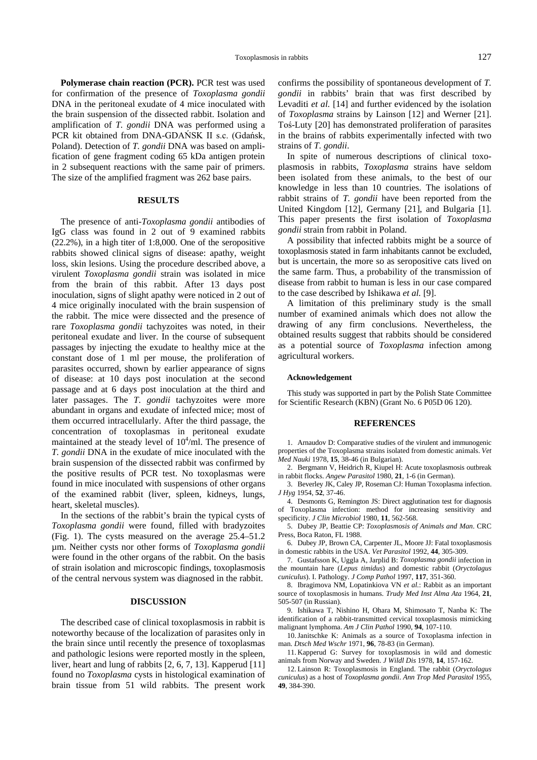**Polymerase chain reaction (PCR).** PCR test was used for confirmation of the presence of *Toxoplasma gondii* DNA in the peritoneal exudate of 4 mice inoculated with the brain suspension of the dissected rabbit. Isolation and amplification of *T. gondii* DNA was performed using a PCR kit obtained from DNA-GDANSK II s.c. (Gdańsk, Poland). Detection of *T. gondii* DNA was based on amplification of gene fragment coding 65 kDa antigen protein in 2 subsequent reactions with the same pair of primers. The size of the amplified fragment was 262 base pairs.

#### **RESULTS**

The presence of anti-*Toxoplasma gondii* antibodies of IgG class was found in 2 out of 9 examined rabbits (22.2%), in a high titer of 1:8,000. One of the seropositive rabbits showed clinical signs of disease: apathy, weight loss, skin lesions. Using the procedure described above, a virulent *Toxoplasma gondii* strain was isolated in mice from the brain of this rabbit. After 13 days post inoculation, signs of slight apathy were noticed in 2 out of 4 mice originally inoculated with the brain suspension of the rabbit. The mice were dissected and the presence of rare *Toxoplasma gondii* tachyzoites was noted, in their peritoneal exudate and liver. In the course of subsequent passages by injecting the exudate to healthy mice at the constant dose of 1 ml per mouse, the proliferation of parasites occurred, shown by earlier appearance of signs of disease: at 10 days post inoculation at the second passage and at 6 days post inoculation at the third and later passages. The *T. gondii* tachyzoites were more abundant in organs and exudate of infected mice; most of them occurred intracellularly. After the third passage, the concentration of toxoplasmas in peritoneal exudate maintained at the steady level of  $10<sup>4</sup>/ml$ . The presence of *T. gondii* DNA in the exudate of mice inoculated with the brain suspension of the dissected rabbit was confirmed by the positive results of PCR test. No toxoplasmas were found in mice inoculated with suspensions of other organs of the examined rabbit (liver, spleen, kidneys, lungs, heart, skeletal muscles).

In the sections of the rabbit's brain the typical cysts of *Toxoplasma gondii* were found, filled with bradyzoites (Fig. 1). The cysts measured on the average 25.4–51.2 µm. Neither cysts nor other forms of *Toxoplasma gondii*  were found in the other organs of the rabbit. On the basis of strain isolation and microscopic findings, toxoplasmosis of the central nervous system was diagnosed in the rabbit.

## **DISCUSSION**

The described case of clinical toxoplasmosis in rabbit is noteworthy because of the localization of parasites only in the brain since until recently the presence of toxoplasmas and pathologic lesions were reported mostly in the spleen, liver, heart and lung of rabbits [2, 6, 7, 13]. Kapperud [11] found no *Toxoplasma* cysts in histological examination of brain tissue from 51 wild rabbits. The present work

confirms the possibility of spontaneous development of *T. gondii* in rabbits' brain that was first described by Levaditi *et al.* [14] and further evidenced by the isolation of *Toxoplasma* strains by Lainson [12] and Werner [21]. Toś-Luty [20] has demonstrated proliferation of parasites in the brains of rabbits experimentally infected with two strains of *T. gondii*.

In spite of numerous descriptions of clinical toxoplasmosis in rabbits, *Toxoplasma* strains have seldom been isolated from these animals, to the best of our knowledge in less than 10 countries. The isolations of rabbit strains of *T. gondii* have been reported from the United Kingdom [12], Germany [21], and Bulgaria [1]. This paper presents the first isolation of *Toxoplasma gondii* strain from rabbit in Poland.

A possibility that infected rabbits might be a source of toxoplasmosis stated in farm inhabitants cannot be excluded, but is uncertain, the more so as seropositive cats lived on the same farm. Thus, a probability of the transmission of disease from rabbit to human is less in our case compared to the case described by Ishikawa *et al.* [9].

A limitation of this preliminary study is the small number of examined animals which does not allow the drawing of any firm conclusions. Nevertheless, the obtained results suggest that rabbits should be considered as a potential source of *Toxoplasma* infection among agricultural workers.

#### **Acknowledgement**

This study was supported in part by the Polish State Committee for Scientific Research (KBN) (Grant No. 6 P05D 06 120).

#### **REFERENCES**

1. Arnaudov D: Comparative studies of the virulent and immunogenic properties of the Toxoplasma strains isolated from domestic animals. *Vet Med Nauki* 1978, **15**, 38-46 (in Bulgarian).

2. Bergmann V, Heidrich R, Kiupel H: Acute toxoplasmosis outbreak in rabbit flocks. *Angew Parasitol* 1980, **21**, 1-6 (in German).

3. Beverley JK, Caley JP, Roseman CJ: Human Toxoplasma infection. *J Hyg* 1954, **52**, 37-46.

4. Desmonts G, Remington JS: Direct agglutination test for diagnosis of Toxoplasma infection: method for increasing sensitivity and specificity. *J Clin Microbiol* 1980, **11**, 562-568.

5. Dubey JP, Beattie CP: *Toxoplasmosis of Animals and Man*. CRC Press, Boca Raton, FL 1988.

6. Dubey JP, Brown CA, Carpenter JL, Moore JJ: Fatal toxoplasmosis in domestic rabbits in the USA. *Vet Parasitol* 1992, **44**, 305-309.

7. Gustafsson K, Uggla A, Jarplid B: *Toxoplasma gondii* infection in the mountain hare (*Lepus timidus*) and domestic rabbit (*Oryctolagus cuniculus*). I. Pathology*. J Comp Pathol* 1997, **117**, 351-360.

8. Ibragimova NM, Lopatinkiova VN *et al.*: Rabbit as an important source of toxoplasmosis in humans. *Trudy Med Inst Alma Ata* 1964, **21**, 505-507 (in Russian).

9. Ishikawa T, Nishino H, Ohara M, Shimosato T, Nanba K: The identification of a rabbit-transmitted cervical toxoplasmosis mimicking malignant lymphoma. *Am J Clin Pathol* 1990, **94**, 107-110.

10. Janitschke K: Animals as a source of Toxoplasma infection in man. *Dtsch Med Wschr* 1971, **96**, 78-83 (in German).

11. Kapperud G: Survey for toxoplasmosis in wild and domestic animals from Norway and Sweden. *J Wildl Dis* 1978, **14**, 157-162.

12. Lainson R: Toxoplasmosis in England. The rabbit (*Oryctolagus cuniculus*) as a host of *Toxoplasma gondii*. *Ann Trop Med Parasitol* 1955, **49**, 384-390.